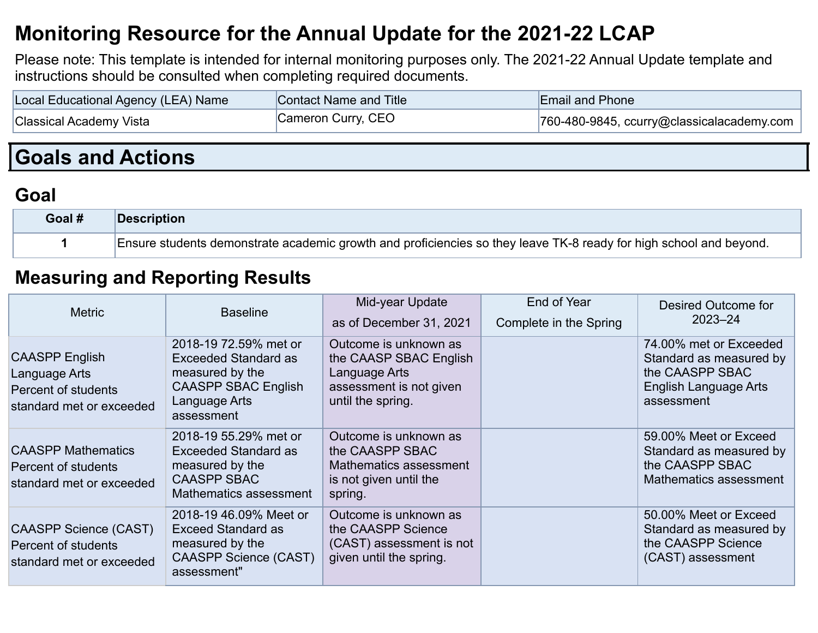## **Monitoring Resource for the Annual Update for the 2021-22 LCAP**

Please note: This template is intended for internal monitoring purposes only. The 2021-22 Annual Update template and instructions should be consulted when completing required documents.

| Local Educational Agency (LEA) Name | <b>Contact Name and Title</b> | <b>Email and Phone</b>                                    |
|-------------------------------------|-------------------------------|-----------------------------------------------------------|
| <b>Classical Academy Vista</b>      | Cameron Curry, CEO            | $\vert$ 760-480-9845, ccurry@classicalacademy.com $\vert$ |

# **Goals and Actions**

### **Goal**

| Goal # | <b>Description</b>                                                                                                 |
|--------|--------------------------------------------------------------------------------------------------------------------|
|        | Ensure students demonstrate academic growth and proficiencies so they leave TK-8 ready for high school and beyond. |

#### **Measuring and Reporting Results**

| <b>Metric</b>                                                                             | <b>Baseline</b>                                                                                                                      | Mid-year Update<br>as of December 31, 2021                                                                       | End of Year<br>Complete in the Spring | Desired Outcome for<br>$2023 - 24$                                                                                 |
|-------------------------------------------------------------------------------------------|--------------------------------------------------------------------------------------------------------------------------------------|------------------------------------------------------------------------------------------------------------------|---------------------------------------|--------------------------------------------------------------------------------------------------------------------|
| <b>CAASPP English</b><br>Language Arts<br>Percent of students<br>standard met or exceeded | 2018-19 72.59% met or<br><b>Exceeded Standard as</b><br>measured by the<br><b>CAASPP SBAC English</b><br>Language Arts<br>assessment | Outcome is unknown as<br>the CAASP SBAC English<br>Language Arts<br>assessment is not given<br>until the spring. |                                       | 74.00% met or Exceeded<br>Standard as measured by<br>the CAASPP SBAC<br><b>English Language Arts</b><br>assessment |
| <b>CAASPP Mathematics</b><br>Percent of students<br>standard met or exceeded              | 2018-19 55.29% met or<br><b>Exceeded Standard as</b><br>measured by the<br><b>CAASPP SBAC</b><br>Mathematics assessment              | Outcome is unknown as<br>the CAASPP SBAC<br>Mathematics assessment<br>is not given until the<br>spring.          |                                       | 59.00% Meet or Exceed<br>Standard as measured by<br>the CAASPP SBAC<br>Mathematics assessment                      |
| <b>CAASPP Science (CAST)</b><br>Percent of students<br>standard met or exceeded           | 2018-19 46.09% Meet or<br><b>Exceed Standard as</b><br>measured by the<br><b>CAASPP Science (CAST)</b><br>assessment"                | Outcome is unknown as<br>the CAASPP Science<br>(CAST) assessment is not<br>given until the spring.               |                                       | 50.00% Meet or Exceed<br>Standard as measured by<br>the CAASPP Science<br>(CAST) assessment                        |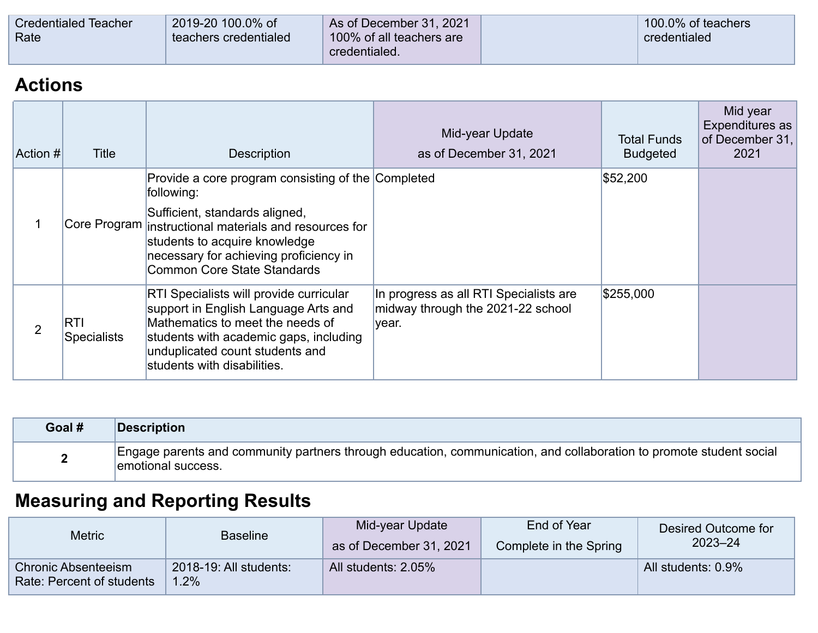| <b>Credentialed Teacher</b> | 2019-20 100.0% of     | As of December 31, 2021  | 100.0% of teachers |
|-----------------------------|-----------------------|--------------------------|--------------------|
| Rate                        | teachers credentialed | 100% of all teachers are | credentialed       |
|                             |                       | credentialed.            |                    |

### **Actions**

| Action #       | <b>Title</b>                     | <b>Description</b>                                                                                                                                                                                                                                                     | Mid-year Update<br>as of December 31, 2021                                           | <b>Total Funds</b><br><b>Budgeted</b> | Mid year<br>Expenditures as<br>of December 31,<br>2021 |
|----------------|----------------------------------|------------------------------------------------------------------------------------------------------------------------------------------------------------------------------------------------------------------------------------------------------------------------|--------------------------------------------------------------------------------------|---------------------------------------|--------------------------------------------------------|
|                |                                  | Provide a core program consisting of the Completed<br>following:<br>Sufficient, standards aligned,<br>Core Program instructional materials and resources for<br>students to acquire knowledge<br>necessary for achieving proficiency in<br>Common Core State Standards |                                                                                      | \$52,200                              |                                                        |
| $\overline{2}$ | <b>RTI</b><br><b>Specialists</b> | <b>RTI Specialists will provide curricular</b><br>support in English Language Arts and<br>Mathematics to meet the needs of<br>students with academic gaps, including<br>unduplicated count students and<br>students with disabilities.                                 | In progress as all RTI Specialists are<br>midway through the 2021-22 school<br>year. | \$255,000                             |                                                        |

| Goal # | <b>Description</b>                                                                                                                        |
|--------|-------------------------------------------------------------------------------------------------------------------------------------------|
|        | Engage parents and community partners through education, communication, and collaboration to promote student social<br>emotional success. |

# **Measuring and Reporting Results**

| <b>Metric</b>                                           | <b>Baseline</b>                | Mid-year Update<br>as of December 31, 2021 | End of Year<br>Complete in the Spring | Desired Outcome for<br>$2023 - 24$ |
|---------------------------------------------------------|--------------------------------|--------------------------------------------|---------------------------------------|------------------------------------|
| <b>Chronic Absenteeism</b><br>Rate: Percent of students | 2018-19: All students:<br>1.2% | All students: 2.05%                        |                                       | All students: 0.9%                 |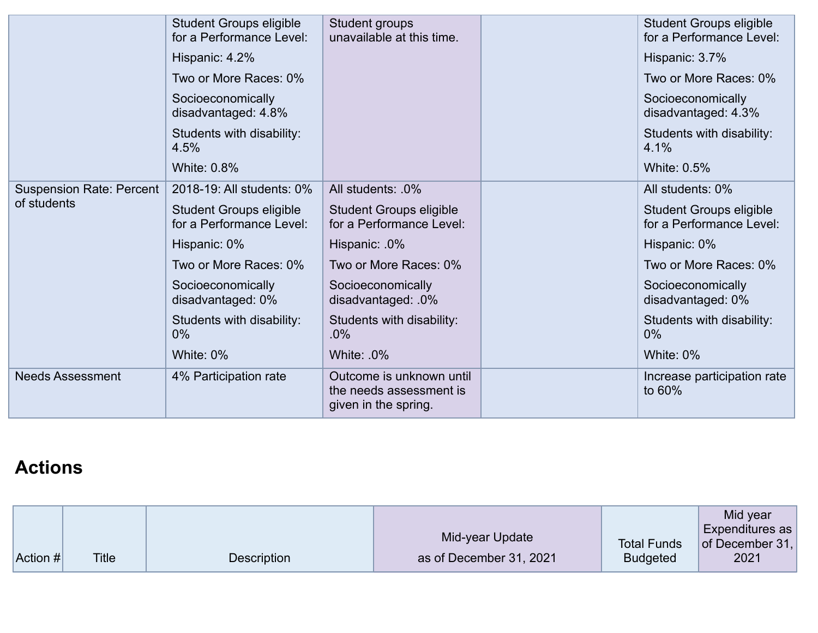|                                 | <b>Student Groups eligible</b><br>for a Performance Level: | Student groups<br>unavailable at this time.                                 | <b>Student Groups eligible</b><br>for a Performance Level: |
|---------------------------------|------------------------------------------------------------|-----------------------------------------------------------------------------|------------------------------------------------------------|
|                                 | Hispanic: 4.2%                                             |                                                                             | Hispanic: 3.7%                                             |
|                                 | Two or More Races: 0%                                      |                                                                             | Two or More Races: 0%                                      |
|                                 | Socioeconomically<br>disadvantaged: 4.8%                   |                                                                             | Socioeconomically<br>disadvantaged: 4.3%                   |
|                                 | Students with disability:<br>4.5%                          |                                                                             | Students with disability:<br>4.1%                          |
|                                 | <b>White: 0.8%</b>                                         |                                                                             | <b>White: 0.5%</b>                                         |
| <b>Suspension Rate: Percent</b> | 2018-19: All students: 0%                                  | All students: .0%                                                           | All students: 0%                                           |
| of students                     | <b>Student Groups eligible</b><br>for a Performance Level: | <b>Student Groups eligible</b><br>for a Performance Level:                  | <b>Student Groups eligible</b><br>for a Performance Level: |
|                                 | Hispanic: 0%                                               | Hispanic: 0%                                                                | Hispanic: 0%                                               |
|                                 | Two or More Races: 0%                                      | Two or More Races: 0%                                                       | Two or More Races: 0%                                      |
|                                 | Socioeconomically<br>disadvantaged: 0%                     | Socioeconomically<br>disadvantaged: .0%                                     | Socioeconomically<br>disadvantaged: 0%                     |
|                                 | Students with disability:<br>$0\%$                         | Students with disability:<br>$.0\%$                                         | Students with disability:<br>$0\%$                         |
|                                 | White: 0%                                                  | White: 0%                                                                   | White: 0%                                                  |
| <b>Needs Assessment</b>         | 4% Participation rate                                      | Outcome is unknown until<br>the needs assessment is<br>given in the spring. | Increase participation rate<br>to 60%                      |

## **Actions**

| $ $ Action # $ $ | <b>Title</b> | Description | Mid-year Update<br>as of December 31, 2021 | <b>Total Funds</b><br><b>Budgeted</b> | Mid year<br>Expenditures as<br>of December $31,$<br>2021 |
|------------------|--------------|-------------|--------------------------------------------|---------------------------------------|----------------------------------------------------------|
|------------------|--------------|-------------|--------------------------------------------|---------------------------------------|----------------------------------------------------------|